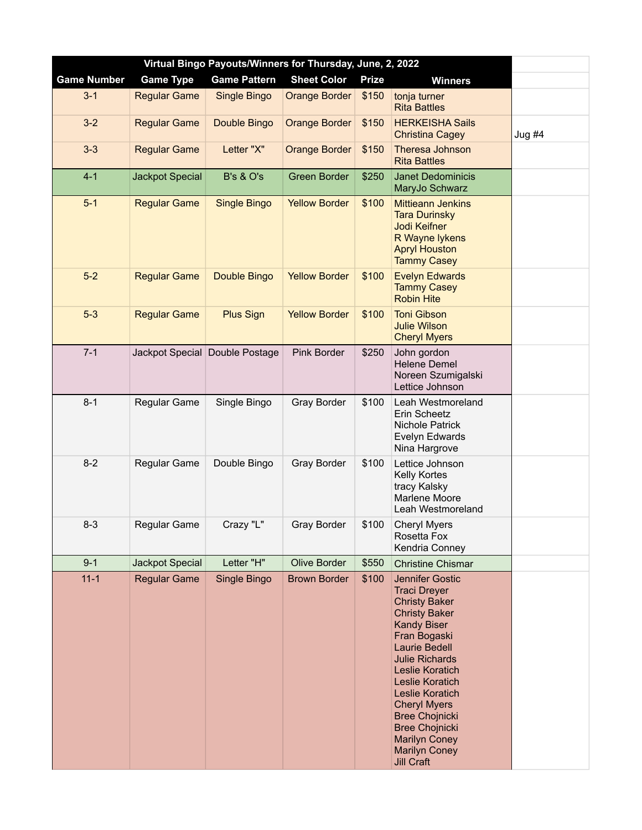| Virtual Bingo Payouts/Winners for Thursday, June, 2, 2022 |                        |                                |                      |              |                                                                                                                                                                                                                                                                                                                                                                                                    |          |  |  |  |
|-----------------------------------------------------------|------------------------|--------------------------------|----------------------|--------------|----------------------------------------------------------------------------------------------------------------------------------------------------------------------------------------------------------------------------------------------------------------------------------------------------------------------------------------------------------------------------------------------------|----------|--|--|--|
| <b>Game Number</b>                                        | <b>Game Type</b>       | <b>Game Pattern</b>            | <b>Sheet Color</b>   | <b>Prize</b> | <b>Winners</b>                                                                                                                                                                                                                                                                                                                                                                                     |          |  |  |  |
| $3 - 1$                                                   | <b>Regular Game</b>    | Single Bingo                   | <b>Orange Border</b> | \$150        | tonja turner<br><b>Rita Battles</b>                                                                                                                                                                                                                                                                                                                                                                |          |  |  |  |
| $3-2$                                                     | <b>Regular Game</b>    | Double Bingo                   | <b>Orange Border</b> | \$150        | <b>HERKEISHA Sails</b><br><b>Christina Cagey</b>                                                                                                                                                                                                                                                                                                                                                   | $Jug$ #4 |  |  |  |
| $3 - 3$                                                   | <b>Regular Game</b>    | Letter "X"                     | <b>Orange Border</b> | \$150        | Theresa Johnson<br><b>Rita Battles</b>                                                                                                                                                                                                                                                                                                                                                             |          |  |  |  |
| $4 - 1$                                                   | <b>Jackpot Special</b> | <b>B's &amp; O's</b>           | <b>Green Border</b>  | \$250        | <b>Janet Dedominicis</b><br>MaryJo Schwarz                                                                                                                                                                                                                                                                                                                                                         |          |  |  |  |
| $5-1$                                                     | <b>Regular Game</b>    | <b>Single Bingo</b>            | <b>Yellow Border</b> | \$100        | <b>Mittieann Jenkins</b><br><b>Tara Durinsky</b><br><b>Jodi Keifner</b><br>R Wayne lykens<br><b>Apryl Houston</b><br><b>Tammy Casey</b>                                                                                                                                                                                                                                                            |          |  |  |  |
| $5-2$                                                     | <b>Regular Game</b>    | Double Bingo                   | <b>Yellow Border</b> | \$100        | <b>Evelyn Edwards</b><br><b>Tammy Casey</b><br><b>Robin Hite</b>                                                                                                                                                                                                                                                                                                                                   |          |  |  |  |
| $5-3$                                                     | <b>Regular Game</b>    | <b>Plus Sign</b>               | <b>Yellow Border</b> | \$100        | <b>Toni Gibson</b><br><b>Julie Wilson</b><br><b>Cheryl Myers</b>                                                                                                                                                                                                                                                                                                                                   |          |  |  |  |
| $7 - 1$                                                   |                        | Jackpot Special Double Postage | Pink Border          | \$250        | John gordon<br>Helene Demel<br>Noreen Szumigalski<br>Lettice Johnson                                                                                                                                                                                                                                                                                                                               |          |  |  |  |
| $8 - 1$                                                   | Regular Game           | Single Bingo                   | <b>Gray Border</b>   | \$100        | Leah Westmoreland<br>Erin Scheetz<br>Nichole Patrick<br>Evelyn Edwards<br>Nina Hargrove                                                                                                                                                                                                                                                                                                            |          |  |  |  |
| $8 - 2$                                                   | Regular Game           | Double Bingo                   | <b>Gray Border</b>   | \$100        | Lettice Johnson<br>Kelly Kortes<br>tracy Kalsky<br>Marlene Moore<br>Leah Westmoreland                                                                                                                                                                                                                                                                                                              |          |  |  |  |
| $8 - 3$                                                   | Regular Game           | Crazy "L"                      | Gray Border          | \$100        | <b>Cheryl Myers</b><br>Rosetta Fox<br>Kendria Conney                                                                                                                                                                                                                                                                                                                                               |          |  |  |  |
| $9 - 1$                                                   | Jackpot Special        | Letter "H"                     | <b>Olive Border</b>  | \$550        | <b>Christine Chismar</b>                                                                                                                                                                                                                                                                                                                                                                           |          |  |  |  |
| $11 - 1$                                                  | <b>Regular Game</b>    | Single Bingo                   | <b>Brown Border</b>  | \$100        | <b>Jennifer Gostic</b><br><b>Traci Dreyer</b><br><b>Christy Baker</b><br><b>Christy Baker</b><br><b>Kandy Biser</b><br>Fran Bogaski<br><b>Laurie Bedell</b><br><b>Julie Richards</b><br><b>Leslie Koratich</b><br>Leslie Koratich<br>Leslie Koratich<br><b>Cheryl Myers</b><br><b>Bree Chojnicki</b><br><b>Bree Chojnicki</b><br><b>Marilyn Coney</b><br><b>Marilyn Coney</b><br><b>Jill Craft</b> |          |  |  |  |